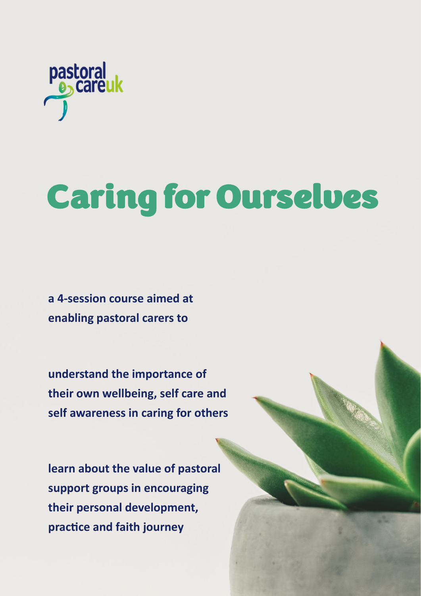

# Caring for Ourselves

**a 4-session course aimed at enabling pastoral carers to**

**understand the importance of their own wellbeing, self care and self awareness in caring for others** 

**learn about the value of pastoral support groups in encouraging their personal development, practice and faith journey**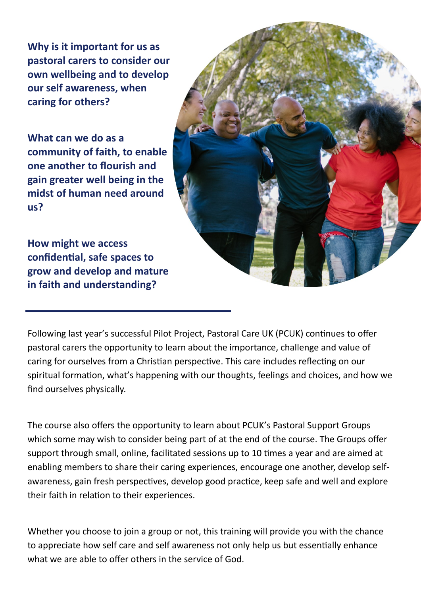**Why is it important for us as pastoral carers to consider our own wellbeing and to develop our self awareness, when caring for others?** 

**What can we do as a community of faith, to enable one another to flourish and gain greater well being in the midst of human need around us?**

**How might we access confidential, safe spaces to grow and develop and mature in faith and understanding?**

Following last year's successful Pilot Project, Pastoral Care UK (PCUK) continues to offer pastoral carers the opportunity to learn about the importance, challenge and value of caring for ourselves from a Christian perspective. This care includes reflecting on our spiritual formation, what's happening with our thoughts, feelings and choices, and how we find ourselves physically.

The course also offers the opportunity to learn about PCUK's Pastoral Support Groups which some may wish to consider being part of at the end of the course. The Groups offer support through small, online, facilitated sessions up to 10 times a year and are aimed at enabling members to share their caring experiences, encourage one another, develop selfawareness, gain fresh perspectives, develop good practice, keep safe and well and explore their faith in relation to their experiences.

Whether you choose to join a group or not, this training will provide you with the chance to appreciate how self care and self awareness not only help us but essentially enhance what we are able to offer others in the service of God.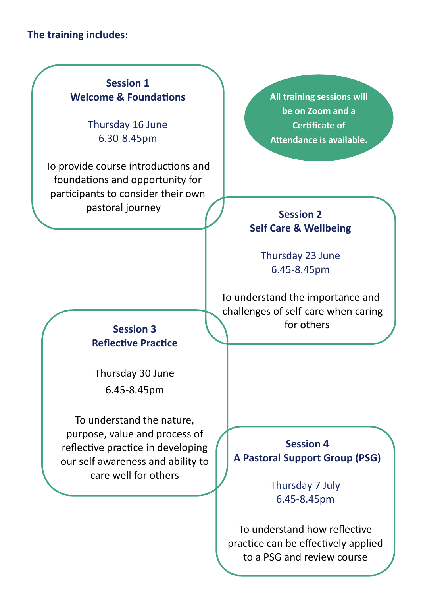# **The training includes:**

# **Session 1 Welcome & Foundations**

Thursday 16 June 6.30-8.45pm

To provide course introductions and foundations and opportunity for participants to consider their own pastoral journey **Session 2** 

**All training sessions will be on Zoom and a Certificate of Attendance is available.**

# **Self Care & Wellbeing**

Thursday 23 June 6.45-8.45pm

To understand the importance and challenges of self-care when caring **Session 3** ( ) for others

# **Reflective Practice**

Thursday 30 June 6.45-8.45pm

To understand the nature, purpose, value and process of reflective practice in developing our self awareness and ability to care well for others

**Session 4 A Pastoral Support Group (PSG)**

> Thursday 7 July 6.45-8.45pm

To understand how reflective practice can be effectively applied to a PSG and review course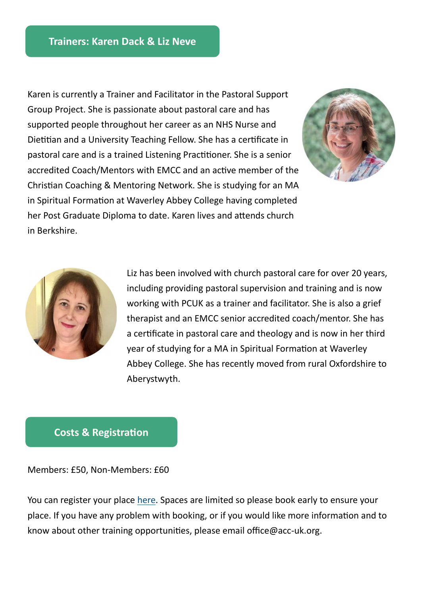Karen is currently a Trainer and Facilitator in the Pastoral Support Group Project. She is passionate about pastoral care and has supported people throughout her career as an NHS Nurse and Dietitian and a University Teaching Fellow. She has a certificate in pastoral care and is a trained Listening Practitioner. She is a senior accredited Coach/Mentors with EMCC and an active member of the Christian Coaching & Mentoring Network. She is studying for an MA in Spiritual Formation at Waverley Abbey College having completed her Post Graduate Diploma to date. Karen lives and attends church in Berkshire.





Liz has been involved with church pastoral care for over 20 years, including providing pastoral supervision and training and is now working with PCUK as a trainer and facilitator. She is also a grief therapist and an EMCC senior accredited coach/mentor. She has a certificate in pastoral care and theology and is now in her third year of studying for a MA in Spiritual Formation at Waverley Abbey College. She has recently moved from rural Oxfordshire to Aberystwyth.

### **Costs & Registration**

Members: £50, Non-Members: £60

You can register your place [here.](https://www.acc-uk.org/professional-development/events.html) Spaces are limited so please book early to ensure your place. If you have any problem with booking, or if you would like more information and to know about other training opportunities, please email office@acc-uk.org.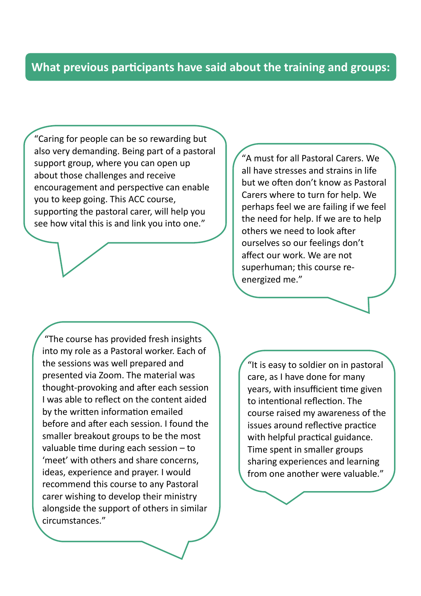# **What previous participants have said about the training and groups:**

"Caring for people can be so rewarding but also very demanding. Being part of a pastoral support group, where you can open up about those challenges and receive encouragement and perspective can enable you to keep going. This ACC course, supporting the pastoral carer, will help you see how vital this is and link you into one."

"A must for all Pastoral Carers. We all have stresses and strains in life but we often don't know as Pastoral Carers where to turn for help. We perhaps feel we are failing if we feel the need for help. If we are to help others we need to look after ourselves so our feelings don't affect our work. We are not superhuman; this course reenergized me."

"The course has provided fresh insights into my role as a Pastoral worker. Each of the sessions was well prepared and presented via Zoom. The material was thought-provoking and after each session I was able to reflect on the content aided by the written information emailed before and after each session. I found the smaller breakout groups to be the most valuable time during each session – to 'meet' with others and share concerns, ideas, experience and prayer. I would recommend this course to any Pastoral carer wishing to develop their ministry alongside the support of others in similar circumstances."

"It is easy to soldier on in pastoral care, as I have done for many years, with insufficient time given to intentional reflection. The course raised my awareness of the issues around reflective practice with helpful practical guidance. Time spent in smaller groups sharing experiences and learning from one another were valuable."